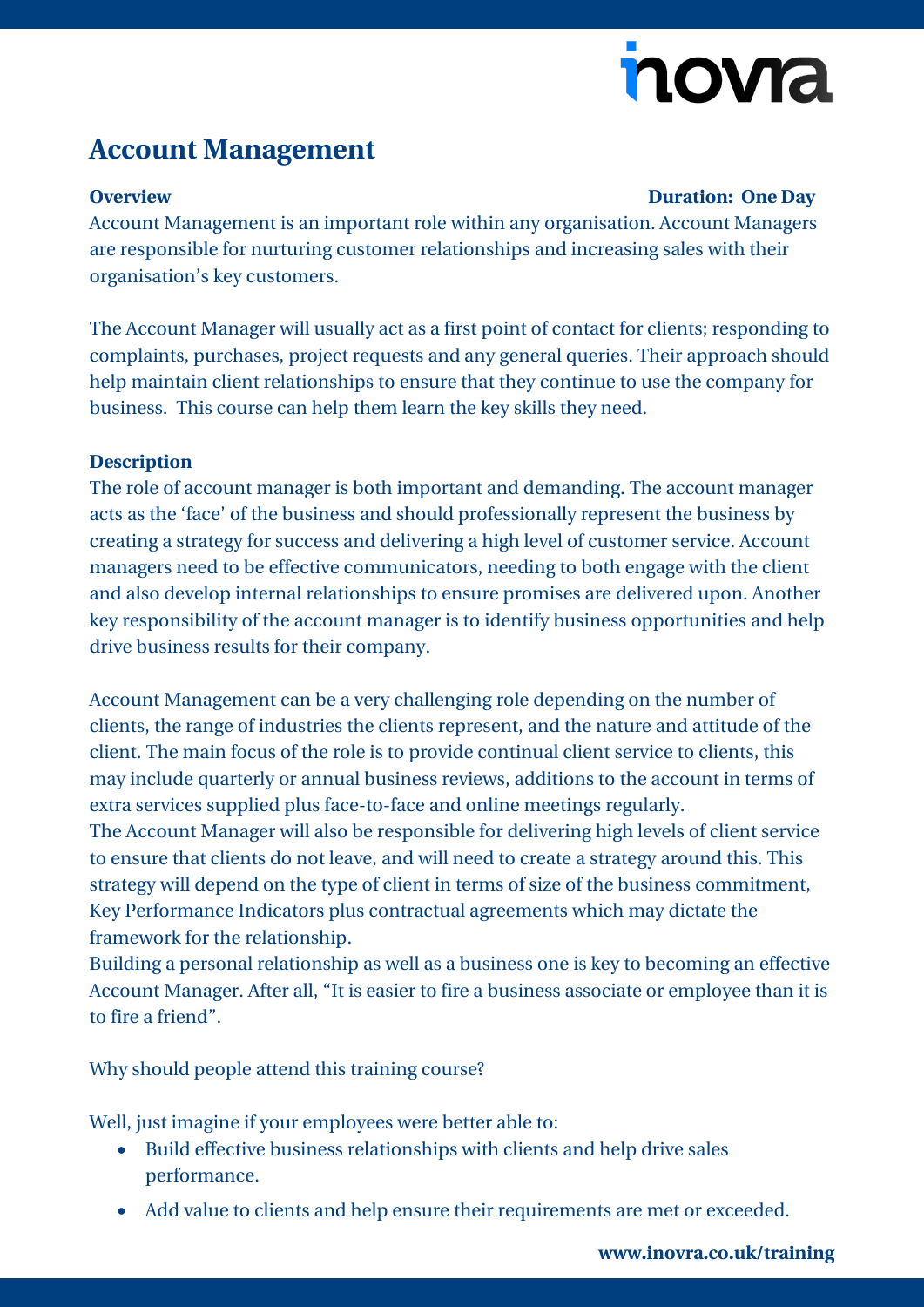# nova

## **Account Management**

#### **Overview Duration: One Day**

Account Management is an important role within any organisation. Account Managers are responsible for nurturing customer relationships and increasing sales with their organisation's key customers.

The Account Manager will usually act as a first point of contact for clients; responding to complaints, purchases, project requests and any general queries. Their approach should help maintain client relationships to ensure that they continue to use the company for business. This course can help them learn the key skills they need.

### **Description**

The role of account manager is both important and demanding. The account manager acts as the 'face' of the business and should professionally represent the business by creating a strategy for success and delivering a high level of customer service. Account managers need to be effective communicators, needing to both engage with the client and also develop internal relationships to ensure promises are delivered upon. Another key responsibility of the account manager is to identify business opportunities and help drive business results for their company.

Account Management can be a very challenging role depending on the number of clients, the range of industries the clients represent, and the nature and attitude of the client. The main focus of the role is to provide continual client service to clients, this may include quarterly or annual business reviews, additions to the account in terms of extra services supplied plus face-to-face and online meetings regularly.

The Account Manager will also be responsible for delivering high levels of client service to ensure that clients do not leave, and will need to create a strategy around this. This strategy will depend on the type of client in terms of size of the business commitment, Key Performance Indicators plus contractual agreements which may dictate the framework for the relationship.

Building a personal relationship as well as a business one is key to becoming an effective Account Manager. After all, "It is easier to fire a business associate or employee than it is to fire a friend".

Why should people attend this training course?

Well, just imagine if your employees were better able to:

- Build effective business relationships with clients and help drive sales performance.
- Add value to clients and help ensure their requirements are met or exceeded.